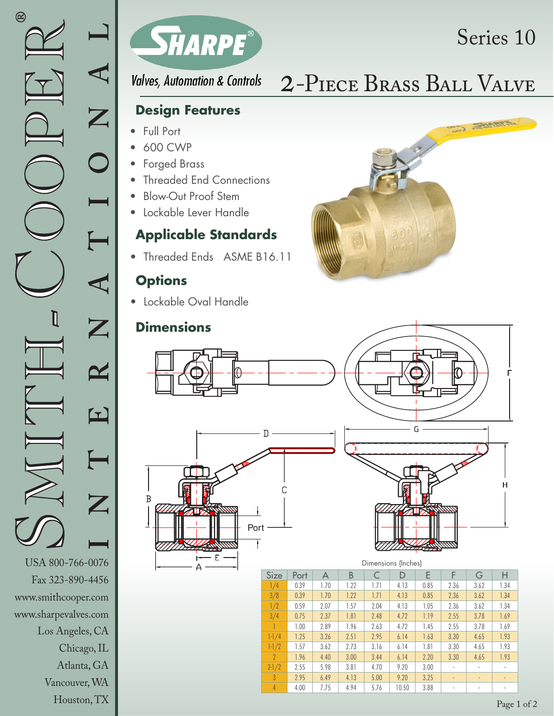



**Valves, Automation & Controls** 

# 2-Piece Brass Ball Valve

Series 10

### **Design Features**

- Full Port
- 600 CWP
- Forged Brass
- **Threaded End Connections**
- Blow-Out Proof Stem
- Lockable Lever Handle

### **Applicable Standards**

• Threaded Ends ASME B16.11

### **Options**

• Lockable Oval Handle

## **Dimensions**







#### Dimensions (Inches)

| Size           | Port | A    | В    | C    | D     | E    | F                        | G              | Н      |
|----------------|------|------|------|------|-------|------|--------------------------|----------------|--------|
| 1/4            | 0.39 | 1.70 | 1.22 | 1.71 | 4.13  | 0.85 | 2.36                     | 3.62           | 1.34   |
| 3/8            | 0.39 | 1.70 | 1.22 | 1.71 | 4.13  | 0.85 | 2.36                     | 3.62           | 1.34   |
| 1/2            | 0.59 | 2.07 | 1.57 | 2.04 | 4.13  | 1.05 | 2.36                     | 3.62           | 1.34   |
| 3/4            | 0.75 | 2.37 | 1.81 | 2.48 | 4.72  | 1.19 | 2.55                     | 3.78           | 1.69   |
|                | 1.00 | 2.89 | 1.96 | 2.63 | 4.72  | 1.45 | 2.55                     | 3.78           | 1.69   |
| $1 - 1/4$      | 1.25 | 3.26 | 2.51 | 2.95 | 6.14  | 1.63 | 3.30                     | 4.65           | 1.93   |
| $1-1/2$        | 1.57 | 3.62 | 2.73 | 3.16 | 6.14  | 1.81 | 3.30                     | 4.65           | 1.93   |
| $\overline{2}$ | 1.96 | 4.40 | 3.00 | 3.44 | 6.14  | 2.20 | 3.30                     | 4.65           | 1.93   |
| $2 - 1/2$      | 2.55 | 5.98 | 3.81 | 4.70 | 9.20  | 3.00 |                          | ٠              |        |
| $\overline{3}$ | 2.95 | 6.49 | 4.13 | 5.00 | 9.20  | 3.25 | $\overline{\phantom{a}}$ | $\blacksquare$ | $\sim$ |
| $\overline{4}$ | 4.00 | 7.75 | 4.94 | 5.76 | 10.50 | 3.88 | ٠                        | ٠              | ٠      |